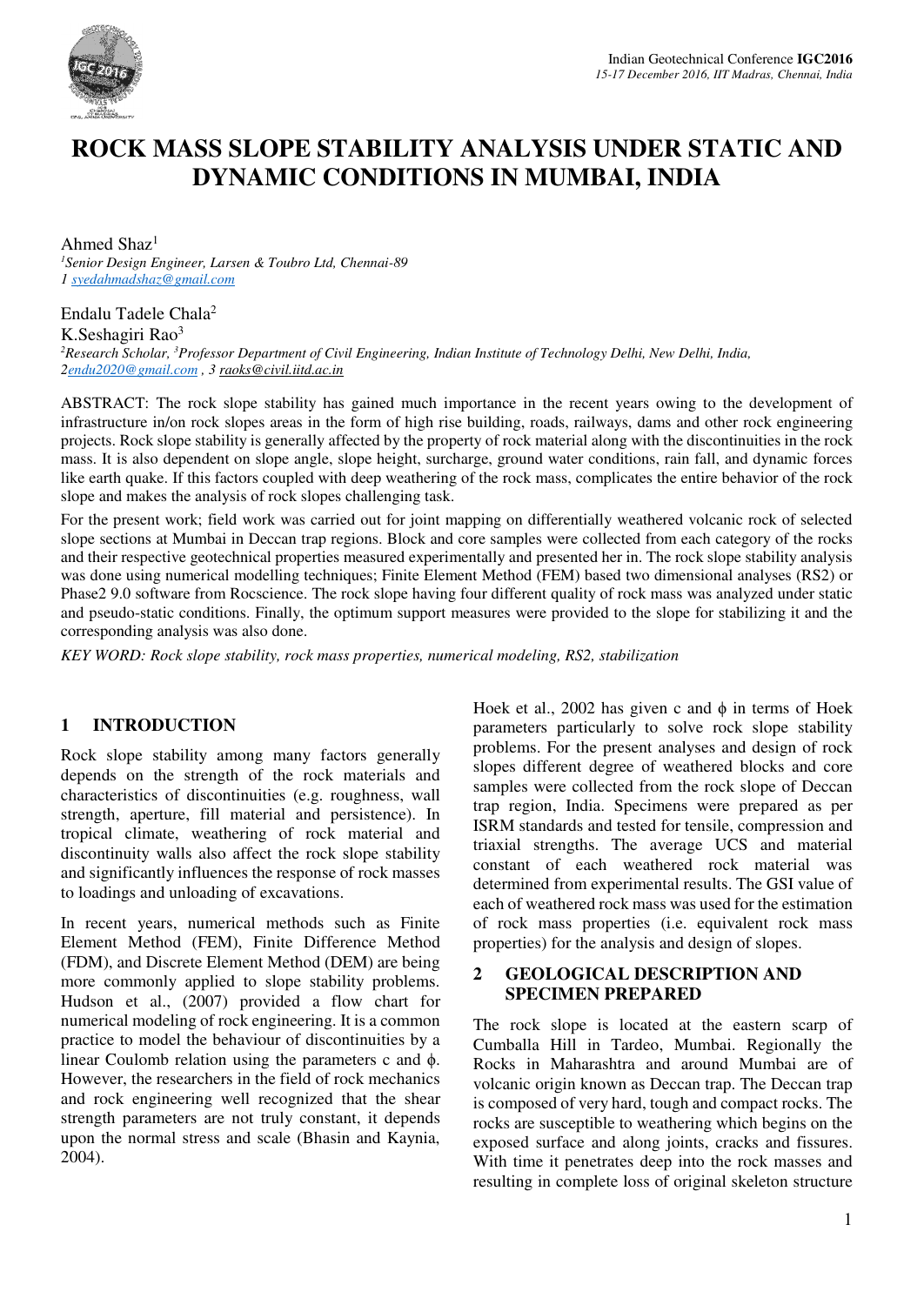

# **ROCK MASS SLOPE STABILITY ANALYSIS UNDER STATIC AND DYNAMIC CONDITIONS IN MUMBAI, INDIA**

Ahmed Shaz<sup>1</sup> *<sup>1</sup>Senior Design Engineer, Larsen & Toubro Ltd, Chennai-89 1 syedahmadshaz@gmail.com* 

Endalu Tadele Chala<sup>2</sup> K.Seshagiri Rao<sup>3</sup> *<sup>2</sup>Research Scholar, <sup>3</sup>Professor Department of Civil Engineering, Indian Institute of Technology Delhi, New Delhi, India, 2endu2020@gmail.com , 3 raoks@civil.iitd.ac.in* 

ABSTRACT: The rock slope stability has gained much importance in the recent years owing to the development of infrastructure in/on rock slopes areas in the form of high rise building, roads, railways, dams and other rock engineering projects. Rock slope stability is generally affected by the property of rock material along with the discontinuities in the rock mass. It is also dependent on slope angle, slope height, surcharge, ground water conditions, rain fall, and dynamic forces like earth quake. If this factors coupled with deep weathering of the rock mass, complicates the entire behavior of the rock slope and makes the analysis of rock slopes challenging task.

For the present work; field work was carried out for joint mapping on differentially weathered volcanic rock of selected slope sections at Mumbai in Deccan trap regions. Block and core samples were collected from each category of the rocks and their respective geotechnical properties measured experimentally and presented her in. The rock slope stability analysis was done using numerical modelling techniques; Finite Element Method (FEM) based two dimensional analyses (RS2) or Phase2 9.0 software from Rocscience. The rock slope having four different quality of rock mass was analyzed under static and pseudo-static conditions. Finally, the optimum support measures were provided to the slope for stabilizing it and the corresponding analysis was also done.

*KEY WORD: Rock slope stability, rock mass properties, numerical modeling, RS2, stabilization* 

## **1 INTRODUCTION**

Rock slope stability among many factors generally depends on the strength of the rock materials and characteristics of discontinuities (e.g. roughness, wall strength, aperture, fill material and persistence). In tropical climate, weathering of rock material and discontinuity walls also affect the rock slope stability and significantly influences the response of rock masses to loadings and unloading of excavations.

In recent years, numerical methods such as Finite Element Method (FEM), Finite Difference Method (FDM), and Discrete Element Method (DEM) are being more commonly applied to slope stability problems. Hudson et al., (2007) provided a flow chart for numerical modeling of rock engineering. It is a common practice to model the behaviour of discontinuities by a linear Coulomb relation using the parameters c and ϕ. However, the researchers in the field of rock mechanics and rock engineering well recognized that the shear strength parameters are not truly constant, it depends upon the normal stress and scale (Bhasin and Kaynia, 2004).

Hoek et al., 2002 has given c and  $\phi$  in terms of Hoek parameters particularly to solve rock slope stability problems. For the present analyses and design of rock slopes different degree of weathered blocks and core samples were collected from the rock slope of Deccan trap region, India. Specimens were prepared as per ISRM standards and tested for tensile, compression and triaxial strengths. The average UCS and material constant of each weathered rock material was determined from experimental results. The GSI value of each of weathered rock mass was used for the estimation of rock mass properties (i.e. equivalent rock mass properties) for the analysis and design of slopes.

## **2 GEOLOGICAL DESCRIPTION AND SPECIMEN PREPARED**

The rock slope is located at the eastern scarp of Cumballa Hill in Tardeo, Mumbai. Regionally the Rocks in Maharashtra and around Mumbai are of volcanic origin known as Deccan trap. The Deccan trap is composed of very hard, tough and compact rocks. The rocks are susceptible to weathering which begins on the exposed surface and along joints, cracks and fissures. With time it penetrates deep into the rock masses and resulting in complete loss of original skeleton structure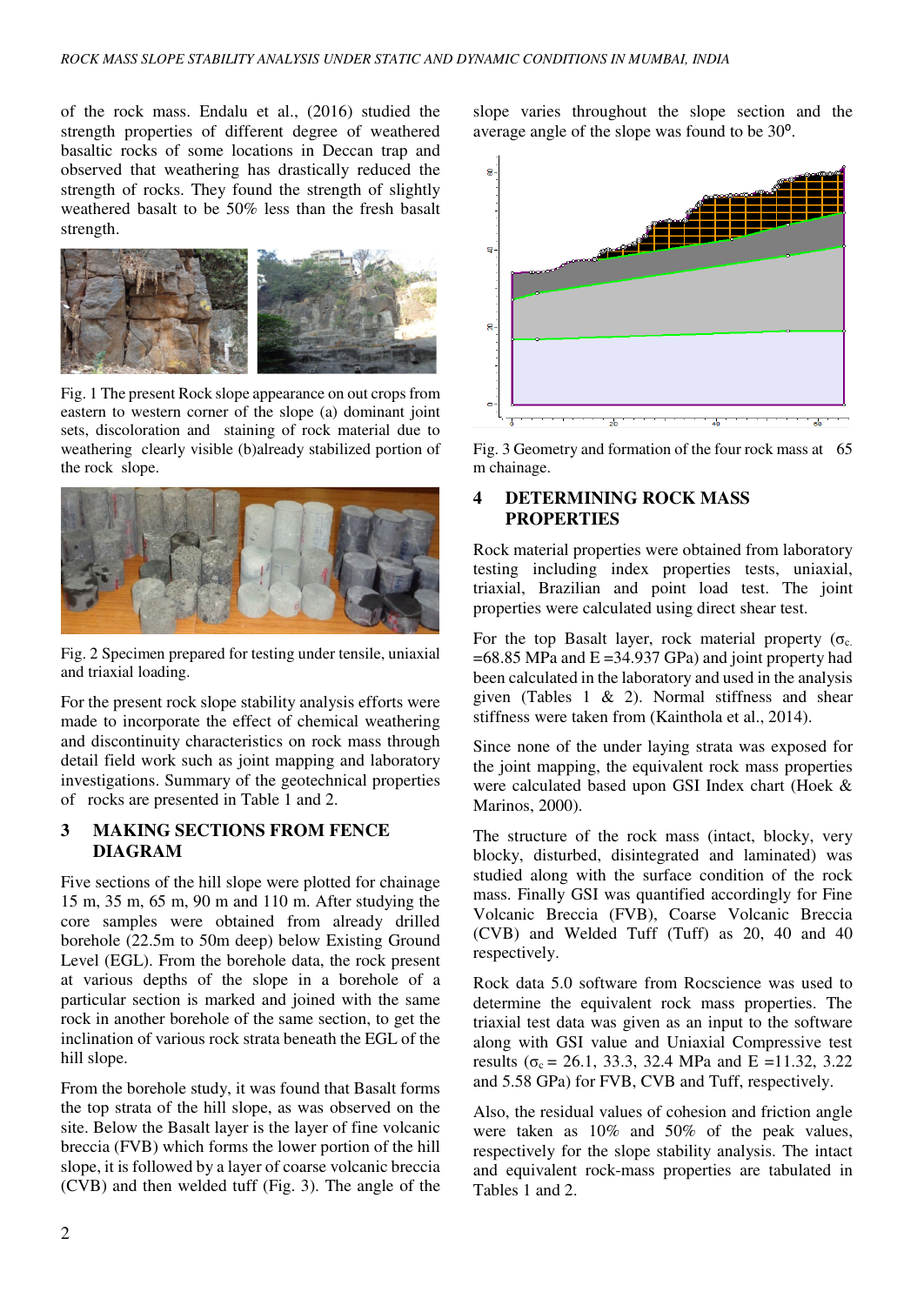of the rock mass. Endalu et al., (2016) studied the strength properties of different degree of weathered basaltic rocks of some locations in Deccan trap and observed that weathering has drastically reduced the strength of rocks. They found the strength of slightly weathered basalt to be 50% less than the fresh basalt strength.



Fig. 1 The present Rock slope appearance on out crops from eastern to western corner of the slope (a) dominant joint sets, discoloration and staining of rock material due to weathering clearly visible (b)already stabilized portion of the rock slope.



Fig. 2 Specimen prepared for testing under tensile, uniaxial and triaxial loading.

For the present rock slope stability analysis efforts were made to incorporate the effect of chemical weathering and discontinuity characteristics on rock mass through detail field work such as joint mapping and laboratory investigations. Summary of the geotechnical properties of rocks are presented in Table 1 and 2.

# **3 MAKING SECTIONS FROM FENCE DIAGRAM**

Five sections of the hill slope were plotted for chainage 15 m, 35 m, 65 m, 90 m and 110 m. After studying the core samples were obtained from already drilled borehole (22.5m to 50m deep) below Existing Ground Level (EGL). From the borehole data, the rock present at various depths of the slope in a borehole of a particular section is marked and joined with the same rock in another borehole of the same section, to get the inclination of various rock strata beneath the EGL of the hill slope.

From the borehole study, it was found that Basalt forms the top strata of the hill slope, as was observed on the site. Below the Basalt layer is the layer of fine volcanic breccia (FVB) which forms the lower portion of the hill slope, it is followed by a layer of coarse volcanic breccia (CVB) and then welded tuff (Fig. 3). The angle of the slope varies throughout the slope section and the average angle of the slope was found to be 30<sup>o</sup>.



Fig. 3 Geometry and formation of the four rock mass at 65 m chainage.

#### **4 DETERMINING ROCK MASS PROPERTIES**

Rock material properties were obtained from laboratory testing including index properties tests, uniaxial, triaxial, Brazilian and point load test. The joint properties were calculated using direct shear test.

For the top Basalt layer, rock material property ( $\sigma_c$ )  $=68.85$  MPa and  $E = 34.937$  GPa) and joint property had been calculated in the laboratory and used in the analysis given (Tables 1 & 2). Normal stiffness and shear stiffness were taken from (Kainthola et al., 2014).

Since none of the under laying strata was exposed for the joint mapping, the equivalent rock mass properties were calculated based upon GSI Index chart (Hoek & Marinos, 2000).

The structure of the rock mass (intact, blocky, very blocky, disturbed, disintegrated and laminated) was studied along with the surface condition of the rock mass. Finally GSI was quantified accordingly for Fine Volcanic Breccia (FVB), Coarse Volcanic Breccia (CVB) and Welded Tuff (Tuff) as 20, 40 and 40 respectively.

Rock data 5.0 software from Rocscience was used to determine the equivalent rock mass properties. The triaxial test data was given as an input to the software along with GSI value and Uniaxial Compressive test results ( $\sigma_c = 26.1$ , 33.3, 32.4 MPa and E =11.32, 3.22 and 5.58 GPa) for FVB, CVB and Tuff, respectively.

Also, the residual values of cohesion and friction angle were taken as 10% and 50% of the peak values, respectively for the slope stability analysis. The intact and equivalent rock-mass properties are tabulated in Tables 1 and 2.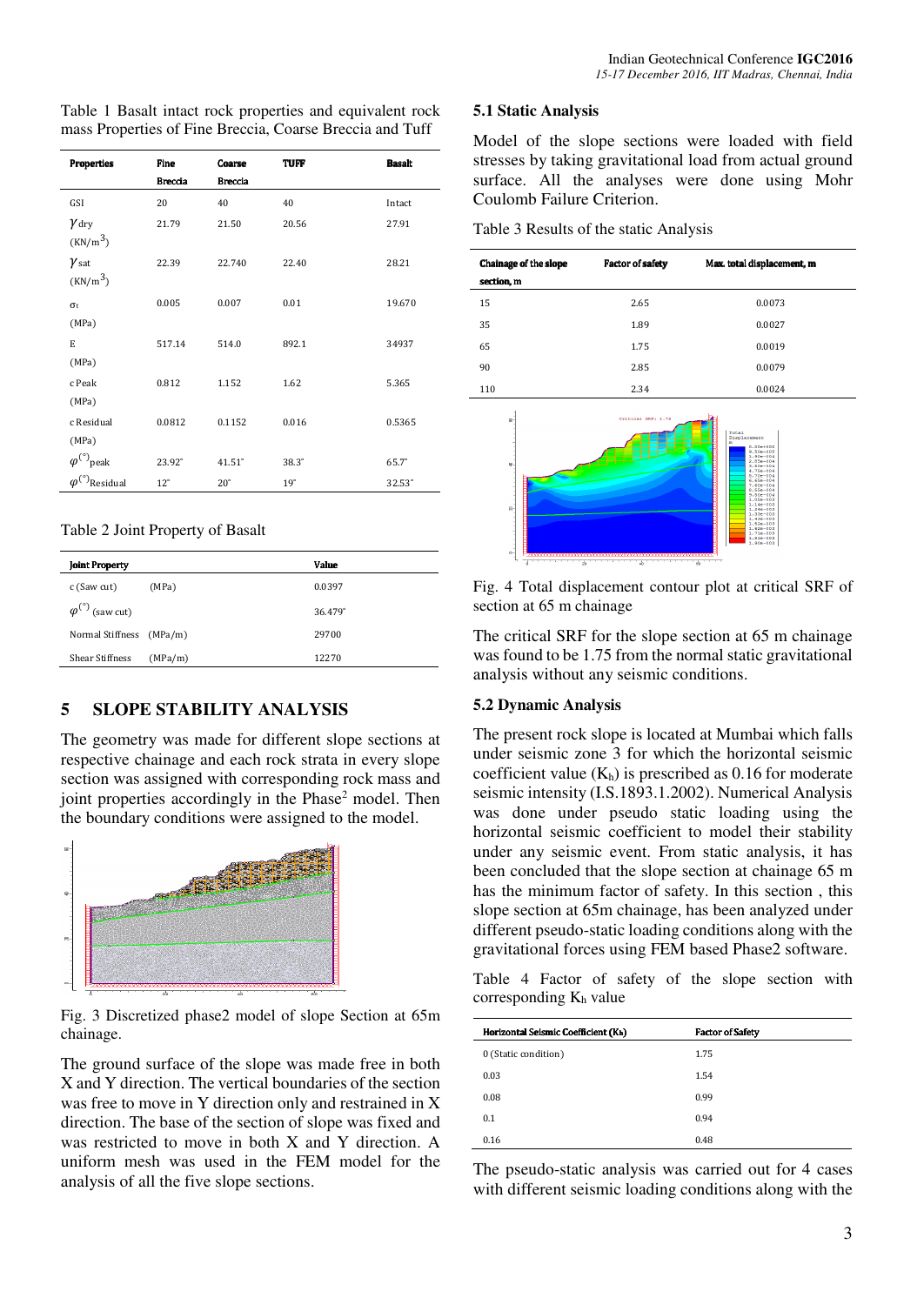Table 1 Basalt intact rock properties and equivalent rock mass Properties of Fine Breccia, Coarse Breccia and Tuff

| <b>Properties</b>                             | Fine           | Coarse         | <b>TUFF</b>  | <b>Basalt</b> |
|-----------------------------------------------|----------------|----------------|--------------|---------------|
|                                               | <b>Breccia</b> | <b>Breccia</b> |              |               |
| GSI                                           | 20             | 40             | 40           | Intact        |
| $\gamma_{\rm dry}$<br>(KN/m <sup>3</sup> )    | 21.79          | 21.50          | 20.56        | 27.91         |
| $\gamma_{\text{sat}}$<br>(KN/m <sup>3</sup> ) | 22.39          | 22.740         | 22.40        | 28.21         |
| $\sigma_{t}$<br>(MPa)                         | 0.005          | 0.007          | 0.01         | 19.670        |
| E<br>(MPa)                                    | 517.14         | 514.0          | 892.1        | 34937         |
| c Peak<br>(MPa)                               | 0.812          | 1.152          | 1.62         | 5.365         |
| c Residual<br>(MPa)                           | 0.0812         | 0.1152         | 0.016        | 0.5365        |
| $\varphi^{(\circ)}$ peak                      | 23.92°         | $41.51^\circ$  | $38.3^\circ$ | $65.7^\circ$  |
| $\varphi^{(\circ)}$ Residual                  | $12^{\circ}$   | $20^{\circ}$   | 19°          | 32.53°        |

#### Table 2 Joint Property of Basalt

| <b>Joint Property</b>              |         | Value   |
|------------------------------------|---------|---------|
| c (Saw cut)                        | (MPa)   | 0.0397  |
| $\varphi^{(\degree)}$<br>(saw cut) |         | 36.479° |
| Normal Stiffness (MPa/m)           |         | 29700   |
| <b>Shear Stiffness</b>             | (MPa/m) | 12270   |

## **5 SLOPE STABILITY ANALYSIS**

The geometry was made for different slope sections at respective chainage and each rock strata in every slope section was assigned with corresponding rock mass and joint properties accordingly in the Phase<sup>2</sup> model. Then the boundary conditions were assigned to the model.



Fig. 3 Discretized phase2 model of slope Section at 65m chainage.

The ground surface of the slope was made free in both X and Y direction. The vertical boundaries of the section was free to move in Y direction only and restrained in X direction. The base of the section of slope was fixed and was restricted to move in both X and Y direction. A uniform mesh was used in the FEM model for the analysis of all the five slope sections.

#### **5.1 Static Analysis**

Model of the slope sections were loaded with field stresses by taking gravitational load from actual ground surface. All the analyses were done using Mohr Coulomb Failure Criterion.

Table 3 Results of the static Analysis

| Chainage of the slope<br>section, m | <b>Factor of safety</b> | Max. total displacement, m |
|-------------------------------------|-------------------------|----------------------------|
| 15                                  | 2.65                    | 0.0073                     |
| 35                                  | 1.89                    | 0.0027                     |
| 65                                  | 1.75                    | 0.0019                     |
| 90                                  | 2.85                    | 0.0079                     |
| 110                                 | 2.34                    | 0.0024                     |



Fig. 4 Total displacement contour plot at critical SRF of section at 65 m chainage

The critical SRF for the slope section at 65 m chainage was found to be 1.75 from the normal static gravitational analysis without any seismic conditions.

#### **5.2 Dynamic Analysis**

The present rock slope is located at Mumbai which falls under seismic zone 3 for which the horizontal seismic coefficient value  $(K_h)$  is prescribed as 0.16 for moderate seismic intensity (I.S.1893.1.2002). Numerical Analysis was done under pseudo static loading using the horizontal seismic coefficient to model their stability under any seismic event. From static analysis, it has been concluded that the slope section at chainage 65 m has the minimum factor of safety. In this section , this slope section at 65m chainage, has been analyzed under different pseudo-static loading conditions along with the gravitational forces using FEM based Phase2 software.

Table 4 Factor of safety of the slope section with corresponding Kh value

| Horizontal Seismic Coefficient (Kh) | <b>Factor of Safety</b> |
|-------------------------------------|-------------------------|
| 0 (Static condition)                | 1.75                    |
| 0.03                                | 1.54                    |
| 0.08                                | 0.99                    |
| 0.1                                 | 0.94                    |
| 0.16                                | 0.48                    |

The pseudo-static analysis was carried out for 4 cases with different seismic loading conditions along with the